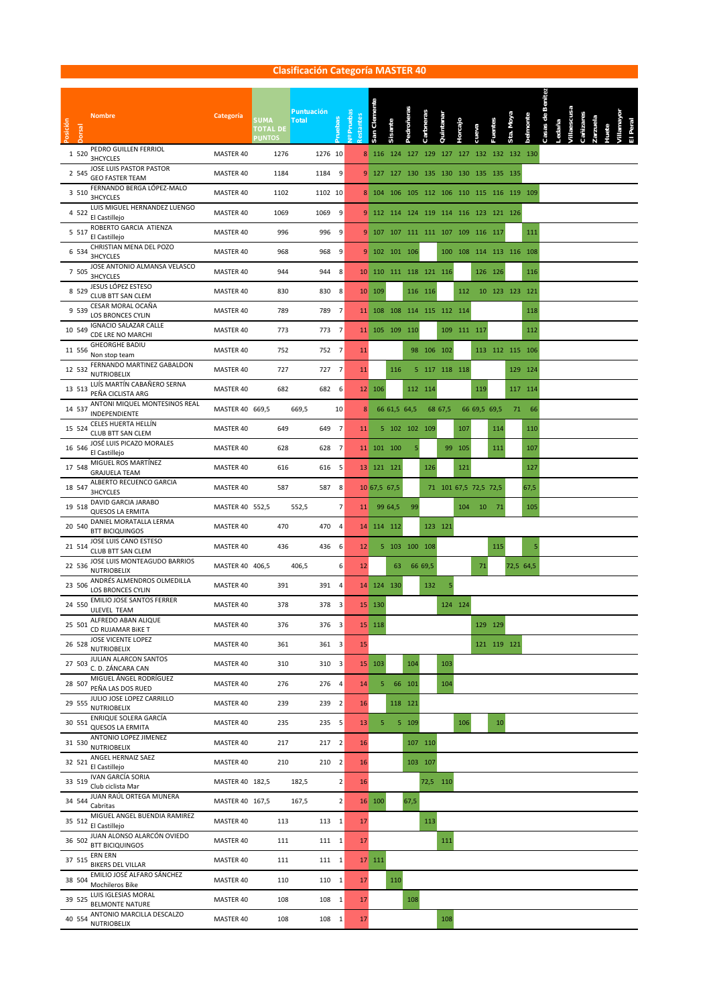## **Clasificación Categoría MASTER 40**

| Posición | <b>Nombre</b><br>Jorsal                                | Categoría       | <b>SUMA</b><br><b>TOTAL DE</b><br><b>PUNTOS</b> | Puntuación<br><b>Total</b> | ruebas         | v <sup>o</sup> Prueba<br>estante | San Clemente                          | Sisante       | Pedroñeras | Carbneras               | Quintanar | lorcajo     |                             |     | Sta. Moya       | ostmoute | Casas de Be | /illaescusa<br>Ledaña |  |  |
|----------|--------------------------------------------------------|-----------------|-------------------------------------------------|----------------------------|----------------|----------------------------------|---------------------------------------|---------------|------------|-------------------------|-----------|-------------|-----------------------------|-----|-----------------|----------|-------------|-----------------------|--|--|
| 1 5 2 0  | PEDRO GUILLEN FERRIOL<br>3HCYCLES                      | MASTER 40       | 1276                                            |                            | 1276 10        | 8                                |                                       | 116 124 127   |            |                         |           |             | 129 127 127 132 132 132 130 |     |                 |          |             |                       |  |  |
| 2 5 4 5  | JOSE LUIS PASTOR PASTOR<br><b>GEO FASTER TEAM</b>      | MASTER 40       | 1184                                            | 1184                       | 9              |                                  | 9 127 127 130                         |               |            | 135                     | 130 130   |             | 135 135 135                 |     |                 |          |             |                       |  |  |
| 3 5 1 0  | FERNANDO BERGA LÓPEZ-MALO<br><b>3HCYCLES</b>           | MASTER 40       | 1102                                            |                            | 1102 10        |                                  | 8 104 106 105                         |               |            |                         |           |             | 112 106 110 115 116 119 109 |     |                 |          |             |                       |  |  |
| 4 5 2 2  | LUIS MIGUEL HERNANDEZ LUENGO<br>El Castillejo          | MASTER 40       | 1069                                            | 1069                       | 9              |                                  | 9 112 114 124 119 114 116 123 121 126 |               |            |                         |           |             |                             |     |                 |          |             |                       |  |  |
| 5 5 1 7  | ROBERTO GARCIA ATIENZA<br>El Castillejo                | MASTER 40       | 996                                             | 996                        | 9              |                                  | 9 107 107 111                         |               |            | 111 107 109             |           |             | 116 117                     |     |                 | 111      |             |                       |  |  |
|          | CHRISTIAN MENA DEL POZO<br>6 534<br><b>3HCYCLES</b>    | MASTER 40       | 968                                             | 968                        | 9              | 9                                |                                       | 102 101 106   |            |                         |           | 100 108     | 114 113 116 108             |     |                 |          |             |                       |  |  |
| 7 505    | JOSE ANTONIO ALMANSA VELASCO<br>3HCYCLES               | MASTER 40       | 944                                             | 944                        | 8              | 10                               | 110 111 118 121 116                   |               |            |                         |           |             | 126 126                     |     |                 | 116      |             |                       |  |  |
| 8 5 2 9  | JESUS LÓPEZ ESTESO<br><b>CLUB BTT SAN CLEM</b>         | MASTER 40       | 830                                             | 830                        | 8              |                                  | 10 109                                |               |            | 116 116                 |           | 112         |                             |     | 10 123 123 121  |          |             |                       |  |  |
| 9 539    | CESAR MORAL OCAÑA<br>LOS BRONCES CYLIN                 | MASTER 40       | 789                                             | 789                        | $\overline{7}$ | 11                               |                                       |               |            | 108 108 114 115 112 114 |           |             |                             |     |                 | 118      |             |                       |  |  |
| 10 549   | <b>IGNACIO SALAZAR CALLE</b><br>CDE LRE NO MARCHI      | MASTER 40       | 773                                             | 773                        | $\overline{7}$ | 11                               |                                       | 105 109 110   |            |                         |           | 109 111 117 |                             |     |                 | 112      |             |                       |  |  |
| 11 556   | <b>GHEORGHE BADIU</b><br>Non stop team                 | MASTER 40       | 752                                             | 752                        | $\overline{7}$ | 11                               |                                       |               |            | 98 106 102              |           |             |                             |     | 113 112 115 106 |          |             |                       |  |  |
| 12 532   | FERNANDO MARTINEZ GABALDON<br><b>NUTRIOBELIX</b>       | MASTER 40       | 727                                             | 727                        | $\overline{7}$ | 11                               |                                       | 116           |            | 5 117 118 118           |           |             |                             |     |                 | 129 124  |             |                       |  |  |
| 13 513   | LUÍS MARTÍN CABAÑERO SERNA<br>PEÑA CICLISTA ARG        | MASTER 40       | 682                                             | 682                        | 6              |                                  | 12 106                                |               |            | 112 114                 |           |             | 119                         |     |                 | 117 114  |             |                       |  |  |
| 14 537   | ANTONI MIQUEL MONTESINOS REAL<br>INDEPENDIENTE         | MASTER 40 669,5 |                                                 | 669,5                      | 10             | 8                                |                                       | 66 61,5 64,5  |            |                         | 68 67,5   |             | 66 69,5 69,5                |     | 71              | 66       |             |                       |  |  |
| 15 524   | CELES HUERTA HELLÍN<br>CLUB BTT SAN CLEM               | MASTER 40       | 649                                             | 649                        | $\overline{7}$ | 11                               |                                       | 5 102 102 109 |            |                         |           | 107         |                             | 114 |                 | 110      |             |                       |  |  |
| 16 546   | JOSÉ LUIS PICAZO MORALES<br>El Castillejo              | MASTER 40       | 628                                             | 628                        | $\overline{7}$ |                                  | 11 101 100                            |               | 5          |                         |           | 99 105      |                             | 111 |                 | 107      |             |                       |  |  |
| 17 548   | MIGUEL ROS MARTÍNEZ<br><b>GRAJUELA TEAM</b>            | MASTER 40       | 616                                             | 616                        | 5              |                                  | 13 121 121                            |               |            | 126                     |           | 121         |                             |     |                 | 127      |             |                       |  |  |
| 18 547   | ALBERTO RECUENCO GARCIA<br><b>3HCYCLES</b>             | MASTER 40       | 587                                             | 587                        | 8              |                                  | 10 67,5 67,5                          |               |            |                         |           |             | 71 101 67,5 72,5 72,5       |     |                 | 67,5     |             |                       |  |  |
| 19 518   | DAVID GARCIA JARABO<br><b>QUESOS LA ERMITA</b>         | MASTER 40 552,5 |                                                 | 552,5                      | $\overline{7}$ | 11                               |                                       | 99 64,5       | 99         |                         |           | 104         | 10                          | 71  |                 | 105      |             |                       |  |  |
| 20 540   | DANIEL MORATALLA LERMA<br><b>BTT BICIQUINGOS</b>       | MASTER 40       | 470                                             | 470                        | $\overline{4}$ |                                  | 14 114 112                            |               |            |                         | 123 121   |             |                             |     |                 |          |             |                       |  |  |
| 21 514   | JOSE LUIS CANO ESTESO<br>CLUB BTT SAN CLEM             | MASTER 40       | 436                                             | 436                        | 6              | 12                               |                                       | 5 103 100 108 |            |                         |           |             |                             | 115 |                 | 5        |             |                       |  |  |
| 22 536   | JOSE LUIS MONTEAGUDO BARRIOS<br><b>NUTRIOBELIX</b>     | MASTER 40 406,5 |                                                 | 406,5                      | 6              | 12                               |                                       | 63            |            | 66 69,5                 |           |             | 71                          |     | 72,5 64,5       |          |             |                       |  |  |
| 23 506   | ANDRÉS ALMENDROS OLMEDILLA<br>LOS BRONCES CYLIN        | MASTER 40       | 391                                             | 391                        | $\overline{4}$ |                                  | 14 124 130                            |               |            | 132                     | 5         |             |                             |     |                 |          |             |                       |  |  |
| 24 550   | <b>EMILIO JOSE SANTOS FERRER</b><br><b>ULEVEL TEAM</b> | MASTER 40       | 378                                             | 378                        | 3              |                                  | 15 130                                |               |            |                         |           | 124 124     |                             |     |                 |          |             |                       |  |  |
| 25 501   | ALFREDO ABAN ALIQUE<br>CD RUJAMAR BIKE T               | MASTER 40       | 376                                             |                            | 376 3          |                                  | 15 118                                |               |            |                         |           |             | 129 129                     |     |                 |          |             |                       |  |  |
| 26 528   | <b>JOSE VICENTE LOPEZ</b><br><b>NUTRIOBELIX</b>        | MASTER 40       | 361                                             |                            | 361 3          | 15                               |                                       |               |            |                         |           |             |                             |     | 121 119 121     |          |             |                       |  |  |
| 27 503   | JULIAN ALARCON SANTOS<br>C. D. ZÁNCARA CAN             | MASTER 40       | 310                                             |                            | 310 3          |                                  | 15 103                                |               | 104        |                         | 103       |             |                             |     |                 |          |             |                       |  |  |
| 28 507   | MIGUEL ÁNGEL RODRÍGUEZ<br>PEÑA LAS DOS RUED            | MASTER 40       | 276                                             | 276                        | $\overline{4}$ | 14                               | 5                                     |               | 66 101     |                         | 104       |             |                             |     |                 |          |             |                       |  |  |
| 29 555   | JULIO JOSE LOPEZ CARRILLO<br><b>NUTRIOBELIX</b>        | MASTER 40       | 239                                             | 239                        | 2 <sup>1</sup> | 16                               |                                       |               | 118 121    |                         |           |             |                             |     |                 |          |             |                       |  |  |
| 30 551   | ENRIQUE SOLERA GARCÍA<br><b>QUESOS LA ERMITA</b>       | MASTER 40       | 235                                             |                            | 235 5          | 13                               | 5                                     |               | 5 109      |                         |           | 106         |                             | 10  |                 |          |             |                       |  |  |
| 31 530   | ANTONIO LOPEZ JIMENEZ<br><b>NUTRIOBELIX</b>            | MASTER 40       | 217                                             |                            | 217 2          | 16                               |                                       |               |            | 107 110                 |           |             |                             |     |                 |          |             |                       |  |  |
| 32 521   | ANGEL HERNAIZ SAEZ<br>El Castillejo                    | MASTER 40       | 210                                             |                            | 210 2          | 16                               |                                       |               |            | 103 107                 |           |             |                             |     |                 |          |             |                       |  |  |
| 33 519   | IVAN GARCÍA SORIA<br>Club ciclista Mar                 | MASTER 40 182,5 |                                                 | 182,5                      | $\overline{2}$ | 16                               |                                       |               |            | 72,5 110                |           |             |                             |     |                 |          |             |                       |  |  |
| 34 544   | JUAN RAÚL ORTEGA MUNERA<br>Cabritas                    | MASTER 40 167,5 |                                                 | 167,5                      | $\overline{2}$ |                                  | 16 100                                |               | 67,5       |                         |           |             |                             |     |                 |          |             |                       |  |  |
| 35 512   | MIGUEL ANGEL BUENDIA RAMIREZ<br>El Castillejo          | MASTER 40       | 113                                             |                            | 113 1          | 17                               |                                       |               |            | 113                     |           |             |                             |     |                 |          |             |                       |  |  |
| 36 502   | JUAN ALONSO ALARCÓN OVIEDO<br><b>BTT BICIQUINGOS</b>   | MASTER 40       | 111                                             |                            | 111 1          | 17                               |                                       |               |            |                         | 111       |             |                             |     |                 |          |             |                       |  |  |
| 37 515   | ERN ERN<br><b>BIKERS DEL VILLAR</b>                    | MASTER 40       | 111                                             |                            | 111 1          |                                  | 17 111                                |               |            |                         |           |             |                             |     |                 |          |             |                       |  |  |
| 38 504   | EMILIO JOSÉ ALFARO SÁNCHEZ<br>Mochileros Bike          | MASTER 40       | 110                                             |                            | 110 1          | 17                               |                                       | 110           |            |                         |           |             |                             |     |                 |          |             |                       |  |  |
| 39 525   | LUIS IGLESIAS MORAL<br><b>BELMONTE NATURE</b>          | MASTER 40       | 108                                             |                            | 108 1          | 17                               |                                       |               | 108        |                         |           |             |                             |     |                 |          |             |                       |  |  |
| 40 554   | ANTONIO MARCILLA DESCALZO<br><b>NUTRIOBELIX</b>        | MASTER 40       | 108                                             |                            | 108 1          | 17                               |                                       |               |            |                         | 108       |             |                             |     |                 |          |             |                       |  |  |